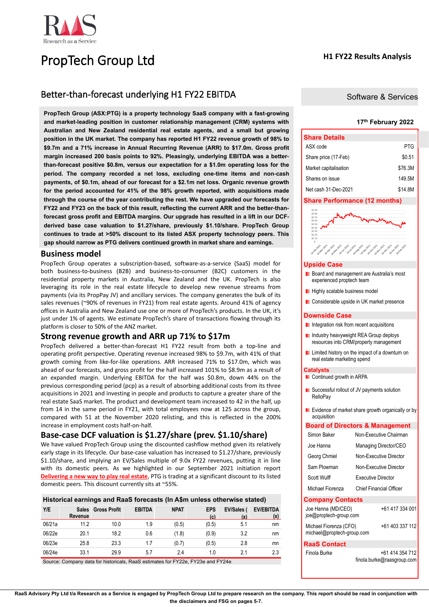

# PropTech Group Ltd

## **H1 FY22 Results Analysis**

# Better-than-forecast underlying H1 FY22 EBITDA

**PropTech Group (ASX:PTG) is a property technology SaaS company with a fast-growing and market-leading position in customer relationship management (CRM) systems with Australian and New Zealand residential real estate agents, and a small but growing position in the UK market. The company has reported H1 FY22 revenue growth of 98% to \$9.7m and a 71% increase in Annual Recurring Revenue (ARR) to \$17.0m. Gross profit margin increased 200 basis points to 92%. Pleasingly, underlying EBITDA was a betterthan-forecast positive \$0.8m, versus our expectation for a \$1.0m operating loss for the period. The company recorded a net loss, excluding one-time items and non-cash payments, of \$0.1m, ahead of our forecast for a \$2.1m net loss. Organic revenue growth for the period accounted for 41% of the 98% growth reported, with acquisitions made through the course of the year contributing the rest. We have upgraded our forecasts for FY22 and FY23 on the back of this result, reflecting the current ARR and the better-thanforecast gross profit and EBITDA margins. Our upgrade has resulted in a lift in our DCFderived base case valuation to \$1.27/share, previously \$1.10/share. PropTech Group continues to trade at >50% discount to its listed ASX property technology peers. This gap should narrow as PTG delivers continued growth in market share and earnings.**

## **Business model**

PropTech Group operates a subscription-based, software-as-a-service (SaaS) model for both business-to-business (B2B) and business-to-consumer (B2C) customers in the residential property markets in Australia, New Zealand and the UK. PropTech is also leveraging its role in the real estate lifecycle to develop new revenue streams from payments (via its PropPay JV) and ancillary services. The company generates the bulk of its sales revenues (~90% of revenues in FY21) from real estate agents. Around 41% of agency offices in Australia and New Zealand use one or more of PropTech's products. In the UK, it's just under 1% of agents. We estimate PropTech's share of transactions flowing through its platform is closer to 50% of the ANZ market.

## **Strong revenue growth and ARR up 71% to \$17m**

PropTech delivered a better-than-forecast H1 FY22 result from both a top-line and operating profit perspective. Operating revenue increased 98% to \$9.7m, with 41% of that growth coming from like-for-like operations. ARR increased 71% to \$17.0m, which was ahead of our forecasts, and gross profit for the half increased 101% to \$8.9m as a result of an expanded margin. Underlying EBITDA for the half was \$0.8m, down 44% on the previous corresponding period (pcp) as a result of absorbing additional costs from its three acquisitions in 2021 and investing in people and products to capture a greater share of the real estate SaaS market. The product and development team increased to 42 in the half, up from 14 in the same period in FY21, with total employees now at 125 across the group, compared with 51 at the November 2020 relisting, and this is reflected in the 200% increase in employment costs half-on-half.

# **Base-case DCF valuation is \$1.27/share (prev. \$1.10/share)**

We have valued PropTech Group using the discounted cashflow method given its relatively early stage in its lifecycle. Our base-case valuation has increased to \$1.27/share, previously \$1.10/share, and implying an EV/Sales multiple of 9.0x FY22 revenues, putting it in line with its domestic peers. As we highlighted in our September 2021 initiation report **[Delivering a new way to play real estate](https://www.raasgroup.com/download/ASX:PTG%20PropTech%20Group%20RaaS%20Initiation%20Report%202021%2009%2013/?wpdmdl=4268)**, PTG is trading at a significant discount to its listed domestic peers. This discount currently sits at ~55%.

## **Historical earnings and RaaS forecasts (In A\$m unless otherwise stated)**

| (x) |
|-----|
| nm  |
| nm  |
| mn  |
| 2.3 |
|     |

Source: Company data for historicals, RaaS estimates for FY22e, FY23e and FY24e

Software & Services

### **17 th February 2022**

| <b>Share Details</b>  |         |
|-----------------------|---------|
| ASX code              | PTG     |
| Share price (17-Feb)  | \$0.51  |
| Market capitalisation | \$76.3M |
| Shares on issue       | 149.5M  |
| Net cash 31-Dec-2021  | \$14.8M |

## **Share Performance (12 months)**

| \$0.80<br>\$0.70                                                       |                                                                                                                                                                                     |
|------------------------------------------------------------------------|-------------------------------------------------------------------------------------------------------------------------------------------------------------------------------------|
| \$0.60                                                                 |                                                                                                                                                                                     |
| \$0.50                                                                 |                                                                                                                                                                                     |
| \$0.40                                                                 |                                                                                                                                                                                     |
| \$0.30                                                                 |                                                                                                                                                                                     |
| \$0.20                                                                 |                                                                                                                                                                                     |
| \$0.10                                                                 |                                                                                                                                                                                     |
| \$-                                                                    |                                                                                                                                                                                     |
| <b>Vorkey-2021</b><br>Le Mar 2023<br><b>Jo-Apr-2023</b><br>16 May 2021 | <b>AGYERY 2022</b><br><b>Joylen 2022</b><br><b>16-Sept2021</b><br>Je jun 2021<br>16-lul-2021<br><b>Vo Rug-2021</b><br><b>v</b> elocizon<br><b>V6 Dec-2021</b><br><b>Vorboy-2021</b> |

## **Upside Case**

- **Board and management are Australia's most** experienced proptech team
- **Highly scalable business model**
- **Considerable upside in UK market presence**

## **Downside Case**

- **I** Integration risk from recent acquisitions
- **Industry heavyweight REA Group deploys** resources into CRM/property management
- **L** Limited history on the impact of a downturn on real estate marketing spend

#### **Catalysts**

- **Continued growth in ARPA**
- **E** Successful rollout of JV payments solution **RelloPay**
- **E** Evidence of market share growth organically or by acquisition

### **Board of Directors & Management**

| Simon Baker                                          | Non-Executive Chairman                        |
|------------------------------------------------------|-----------------------------------------------|
| Joe Hanna                                            | Managing Director/CEO                         |
| Georg Chmiel                                         | Non-Executive Director                        |
| Sam Plowman                                          | Non-Executive Director                        |
| Scott Wulff                                          | <b>Executive Director</b>                     |
| Michael Fiorenza                                     | <b>Chief Financial Officer</b>                |
| <b>Company Contacts</b>                              |                                               |
| Joe Hanna (MD/CEO)<br>joe@proptech-group.com         | +61 417 334 001                               |
| Michael Fiorenza (CFO)<br>michael@proptech-group.com | +61 403 337 112                               |
| <b>RaaS Contact</b>                                  |                                               |
| Finola Burke                                         | +61 414 354 712<br>finola.burke@raasgroup.com |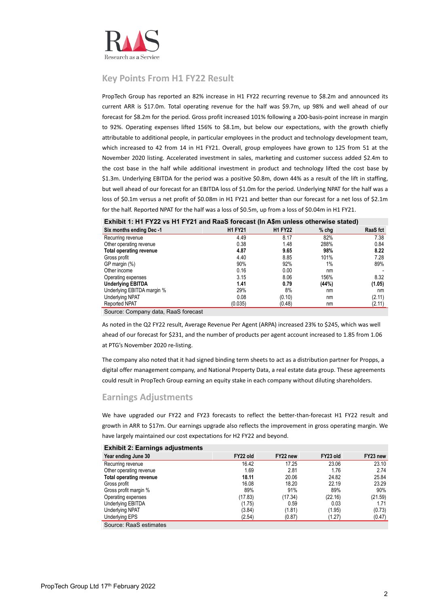

# **Key Points From H1 FY22 Result**

PropTech Group has reported an 82% increase in H1 FY22 recurring revenue to \$8.2m and announced its current ARR is \$17.0m. Total operating revenue for the half was \$9.7m, up 98% and well ahead of our forecast for \$8.2m for the period. Gross profit increased 101% following a 200-basis-point increase in margin to 92%. Operating expenses lifted 156% to \$8.1m, but below our expectations, with the growth chiefly attributable to additional people, in particular employees in the product and technology development team, which increased to 42 from 14 in H1 FY21. Overall, group employees have grown to 125 from 51 at the November 2020 listing. Accelerated investment in sales, marketing and customer success added \$2.4m to the cost base in the half while additional investment in product and technology lifted the cost base by \$1.3m. Underlying EBITDA for the period was a positive \$0.8m, down 44% as a result of the lift in staffing, but well ahead of our forecast for an EBITDA loss of \$1.0m for the period. Underlying NPAT for the half was a loss of \$0.1m versus a net profit of \$0.08m in H1 FY21 and better than our forecast for a net loss of \$2.1m for the half. Reported NPAT for the half was a loss of \$0.5m, up from a loss of \$0.04m in H1 FY21.

| $\blacksquare$             |                |                |         |          |  |  |  |  |  |  |  |
|----------------------------|----------------|----------------|---------|----------|--|--|--|--|--|--|--|
| Six months ending Dec -1   | <b>H1 FY21</b> | <b>H1 FY22</b> | $%$ chg | RaaS fct |  |  |  |  |  |  |  |
| Recurring revenue          | 4.49           | 8.17           | 82%     | 7.38     |  |  |  |  |  |  |  |
| Other operating revenue    | 0.38           | 1.48           | 288%    | 0.84     |  |  |  |  |  |  |  |
| Total operating revenue    | 4.87           | 9.65           | 98%     | 8.22     |  |  |  |  |  |  |  |
| Gross profit               | 4.40           | 8.85           | 101%    | 7.28     |  |  |  |  |  |  |  |
| GP margin (%)              | 90%            | 92%            | 1%      | 89%      |  |  |  |  |  |  |  |
| Other income               | 0.16           | 0.00           | nm      |          |  |  |  |  |  |  |  |
| Operating expenses         | 3.15           | 8.06           | 156%    | 8.32     |  |  |  |  |  |  |  |
| <b>Underlying EBITDA</b>   | 1.41           | 0.79           | (44%)   | (1.05)   |  |  |  |  |  |  |  |
| Underlying EBITDA margin % | 29%            | 8%             | nm      | nm       |  |  |  |  |  |  |  |
| <b>Underlying NPAT</b>     | 0.08           | (0.10)         | nm      | (2.11)   |  |  |  |  |  |  |  |
| Reported NPAT              | (0.035)        | (0.48)         | nm      | (2.11)   |  |  |  |  |  |  |  |
|                            |                |                |         |          |  |  |  |  |  |  |  |

| Exhibit 1: H1 FY22 vs H1 FY21 and RaaS forecast (In A\$m unless otherwise stated) |  |  |
|-----------------------------------------------------------------------------------|--|--|
|-----------------------------------------------------------------------------------|--|--|

Source: Company data, RaaS forecast

As noted in the Q2 FY22 result, Average Revenue Per Agent (ARPA) increased 23% to \$245, which was well ahead of our forecast for \$231, and the number of products per agent account increased to 1.85 from 1.06 at PTG's November 2020 re-listing.

The company also noted that it had signed binding term sheets to act as a distribution partner for Propps, a digital offer management company, and National Property Data, a real estate data group. These agreements could result in PropTech Group earning an equity stake in each company without diluting shareholders.

## **Earnings Adjustments**

We have upgraded our FY22 and FY23 forecasts to reflect the better-than-forecast H1 FY22 result and growth in ARR to \$17m. Our earnings upgrade also reflects the improvement in gross operating margin. We have largely maintained our cost expectations for H2 FY22 and beyond.

| Exhibit 2: Earnings adjustments |          |          |          |          |
|---------------------------------|----------|----------|----------|----------|
| Year ending June 30             | FY22 old | FY22 new | FY23 old | FY23 new |
| Recurring revenue               | 16.42    | 17.25    | 23.06    | 23.10    |
| Other operating revenue         | 1.69     | 2.81     | 1.76     | 2.74     |
| <b>Total operating revenue</b>  | 18.11    | 20.06    | 24.82    | 25.84    |
| Gross profit                    | 16.08    | 18.20    | 22.19    | 23.29    |
| Gross profit margin %           | 89%      | 91%      | 89%      | 90%      |
| Operating expenses              | (17.83)  | (17.34)  | (22.16)  | (21.59)  |
| Underlying EBITDA               | (1.75)   | 0.59     | 0.03     | 1.71     |
| <b>Underlying NPAT</b>          | (3.84)   | (1.81)   | (1.95)   | (0.73)   |
| <b>Underlying EPS</b>           | (2.54)   | (0.87)   | (1.27)   | (0.47)   |
| Course, DeeCostinistic          |          |          |          |          |

**Exhibit 2: Earnings adjustments**

Source: RaaS estimates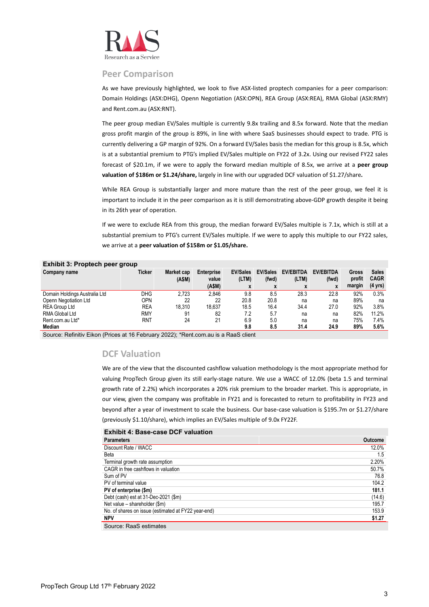

## **Peer Comparison**

As we have previously highlighted, we look to five ASX-listed proptech companies for a peer comparison: Domain Holdings (ASX:DHG), Openn Negotiation (ASX:OPN), REA Group (ASX:REA), RMA Global (ASX:RMY) and Rent.com.au (ASX:RNT).

The peer group median EV/Sales multiple is currently 9.8x trailing and 8.5x forward. Note that the median gross profit margin of the group is 89%, in line with where SaaS businesses should expect to trade. PTG is currently delivering a GP margin of 92%. On a forward EV/Sales basis the median for this group is 8.5x, which is at a substantial premium to PTG's implied EV/Sales multiple on FY22 of 3.2x. Using our revised FY22 sales forecast of \$20.1m, if we were to apply the forward median multiple of 8.5x, we arrive at a **peer group valuation of \$186m or \$1.24/share,** largely in line with our upgraded DCF valuation of \$1.27/share**.**

While REA Group is substantially larger and more mature than the rest of the peer group, we feel it is important to include it in the peer comparison as it is still demonstrating above-GDP growth despite it being in its 26th year of operation.

If we were to exclude REA from this group, the median forward EV/Sales multiple is 7.1x, which is still at a substantial premium to PTG's current EV/Sales multiple. If we were to apply this multiple to our FY22 sales, we arrive at a **peer valuation of \$158m or \$1.05/share.**

|                               | LAINURU. FIUDLECII DEEI GIUUD |            |                   |                          |                          |                           |                           |                 |                             |
|-------------------------------|-------------------------------|------------|-------------------|--------------------------|--------------------------|---------------------------|---------------------------|-----------------|-----------------------------|
| Company name                  | Ticker                        | Market cap | <b>Enterprise</b> | <b>EV/Sales</b><br>(LTM) | <b>EV/Sales</b><br>(fwd) | <b>EV/EBITDA</b><br>(LTM) | <b>EV/EBITDA</b><br>(fwd) | Gross<br>profit | <b>Sales</b><br><b>CAGR</b> |
|                               |                               | (ASM)      | value             |                          |                          |                           |                           |                 |                             |
|                               |                               |            | (ASM)             | X                        | X                        | x                         | X                         | margin          | $(4 \text{ yrs})$           |
| Domain Holdings Australia Ltd | DHG                           | 2.723      | 2.846             | 9.8                      | 8.5                      | 28.3                      | 22.8                      | 92%             | 0.3%                        |
| Openn Negotiation Ltd         | OPN                           | 22         | 22                | 20.8                     | 20.8                     | na                        | na                        | 89%             | na                          |
| <b>REA Group Ltd</b>          | <b>REA</b>                    | 18.310     | 18.637            | 18.5                     | 16.4                     | 34.4                      | 27.0                      | 92%             | 3.8%                        |
| <b>RMA Global Ltd</b>         | <b>RMY</b>                    | 91         | 82                | 7.2                      | 5.7                      | na                        | na                        | 82%             | 11.2%                       |
| Rent.com.au Ltd*              | RNT                           | 24         | 21                | 6.9                      | 5.0                      | na                        | na                        | 75%             | 7.4%                        |
| Median                        |                               |            |                   | 9.8                      | 8.5                      | 31.4                      | 24.9                      | 89%             | 5.6%                        |

# **Exhibit 3: Proptech peer group**

Source: Refinitiv Eikon (Prices at 16 February 2022); \*Rent.com.au is a RaaS client

## **DCF Valuation**

We are of the view that the discounted cashflow valuation methodology is the most appropriate method for valuing PropTech Group given its still early-stage nature. We use a WACC of 12.0% (beta 1.5 and terminal growth rate of 2.2%) which incorporates a 20% risk premium to the broader market. This is appropriate, in our view, given the company was profitable in FY21 and is forecasted to return to profitability in FY23 and beyond after a year of investment to scale the business. Our base-case valuation is \$195.7m or \$1.27/share (previously \$1.10/share), which implies an EV/Sales multiple of 9.0x FY22F.

## **Exhibit 4: Base-case DCF valuation Parameters Outcome** Discount Rate / WACC 12.0% and 12.0% and 12.0% and 12.0% and 12.0% and 12.0% and 12.0% and 12.0% and 12.0% and 12.0% Beta 1.5 Terminal growth rate assumption 2.20% CAGR in free cashflows in valuation 50.7% of the cash of the cash of the cash of the cash of the cash of the cash of the cash of the cash of the cash of the cash of the cash of the cash of the cash of the cash of the cash Sum of PV 76.8 PV of terminal value 104.2 **PV of enterprise (\$m) 181.1** Debt (cash) est at 31-Dec-2021 (\$m) (14.6) Net value – shareholder (\$m) 195.7 No. of shares on issue (estimated at FY22 year-end) 153.9 **NPV \$1.27**  Source: RaaS estimates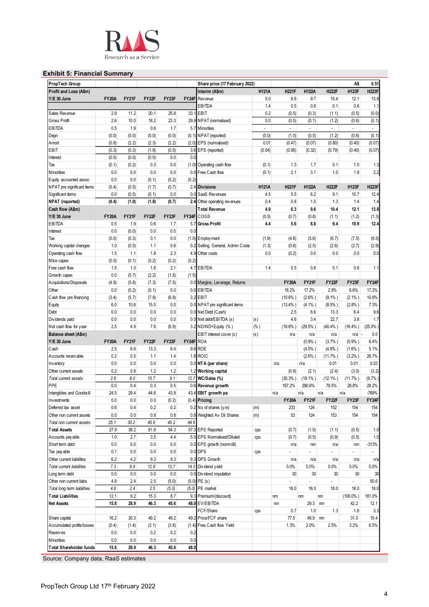

# **Exhibit 5: Financial Summary**

| PropTech Group                                                                      |              |       |                    |       |                    | Share price (17 February 2022)    |              |                |                          |                | A\$            | 0.51                     |
|-------------------------------------------------------------------------------------|--------------|-------|--------------------|-------|--------------------|-----------------------------------|--------------|----------------|--------------------------|----------------|----------------|--------------------------|
| Profit and Loss (A\$m)                                                              |              |       |                    |       |                    | Interim (A\$m)                    | <b>H121A</b> | <b>H221F</b>   | <b>H122A</b>             | <b>H222F</b>   | <b>H123F</b>   | <b>H223F</b>             |
| Y/E 30 June                                                                         | <b>FY20A</b> | FY21F | FY22F              | FY23F | FY24F              | Rev enue                          | 5.0          | 6.6            | 9.7                      | 10.4           | 12.1           | 13.8                     |
|                                                                                     |              |       |                    |       |                    | EBITDA                            | 1.4          | 0.5            | 0.8                      | 0.1            | 0.6            | 1.1                      |
| Sales Revenue                                                                       | 2.9          | 11.2  | 20.1               | 25.8  |                    | 33.1 EBIT                         | 0.2          | (0.5)          | (0.3)                    | (1.1)          | (0.5)          | (0.0)                    |
| <b>Gross Profit</b>                                                                 | 2.6          | 10.0  | 18.2               | 23.3  |                    | 29.9 NPAT (normalised)            | 0.0          | (0.5)          | (0.1)                    | (1.2)          | (0.6)          | (0.1)                    |
| <b>EBITDA</b>                                                                       | 0.5          | 1.9   | 0.6                | 1.7   |                    | 5.7 Minorities                    | $\mathbf{r}$ | $\blacksquare$ | $\overline{\phantom{a}}$ | $\Box$         | $\blacksquare$ | $\overline{\phantom{a}}$ |
|                                                                                     |              |       |                    |       |                    |                                   |              |                |                          |                |                |                          |
| Depn                                                                                | (0.0)        | (0.0) | (0.0)              | (0.0) |                    | (0.1) NPAT (reported)             | (0.0)        | (1.0)          | (0.5)                    | (1.2)          | (0.6)          | (0.1)                    |
| Amort                                                                               | (0.8)        | (2.2) | (2.3)              | (2.2) |                    | (2.0) EPS (normalised)            | 0.01         | (0.47)         | (0.07)                   | (0.80)         | (0.40)         | (0.07)                   |
| EBIT                                                                                | (0.3)        | (0.3) | (1.8)              | (0.5) |                    | 3.6 EPS (reported)                | (0.04)       | (0.95)         | (0.32)                   | (0.79)         | (0.40)         | (0.07)                   |
| Interest                                                                            | (0.0)        | (0.0) | (0.0)              | 0.0   | 0.0                |                                   |              |                |                          |                |                |                          |
| Tax                                                                                 | (0.1)        | (0.2) | 0.3                | 0.0   |                    | (1.0) Operating cash flow         | (0.1)        | 1.3            | 1.7                      | 0.1            | 1.0            | 1.3                      |
| Minorities                                                                          | 0.0          | 0.0   | 0.0                | 0.0   | 0.0                | Free Cash flow                    | (0.1)        | 2.1            | 3.1                      | 1.0            | 1.8            | 2.2                      |
| Equity accounted assoc                                                              | 0.0          | 0.0   | (0.1)              | (0.2) | (0.2)              |                                   |              |                |                          |                |                |                          |
| NPAT pre significant items                                                          | (0.4)        | (0.5) | (1.7)              | (0.7) |                    | 2.4 Divisions                     | <b>H121A</b> | <b>H221F</b>   | <b>H122A</b>             | <b>H222F</b>   | <b>H123F</b>   | <b>H223F</b>             |
|                                                                                     | 0.0          |       |                    | 0.0   |                    | 0.0 SaaS Revenues                 |              | 5.5            | 8.2                      | 9.1            | 10.7           |                          |
| Significant items                                                                   |              | (0.5) | (0.1)              |       |                    |                                   | 4.5          |                |                          |                |                | 12.4                     |
| NPAT (reported)                                                                     | (0.4)        | (1.0) | (1.8)              | (0.7) |                    | 2.4 Other operating revenues      | 0.4          | 0.8            | 1.5                      | 1.3            | 1.4            | 1.4                      |
| Cash flow (A\$m)                                                                    |              |       |                    |       |                    | <b>Total Revenue</b>              | 4.9          | 6.3            | 9.6                      | 10.4           | 12.1           | 13.8                     |
| Y/E 30 June                                                                         | <b>FY20A</b> | FY21F | FY <sub>22</sub> F | FY23F | FY <sub>24</sub> F | COGS                              | (0.5)        | (0.7)          | (0.8)                    | (1.1)          | (1.2)          | (1.3)                    |
| <b>EBITDA</b>                                                                       | 0.5          | 1.9   | 0.6                | 1.7   | 5.7                | <b>Gross Profit</b>               | 4.4          | 5.6            | 8.8                      | 9.4            | 10.9           | 12.4                     |
| Interest                                                                            | 0.0          | (0.0) | 0.0                | 0.0   | 0.0                |                                   |              |                |                          |                |                |                          |
| Tax                                                                                 | (0.0)        | (0.3) | 0.1                | 0.0   |                    | $(1.0)$ Employment                | (1.9)        | (4.6)          | (5.6)                    | (6.7)          | (7.5)          | (8.5)                    |
|                                                                                     |              |       |                    |       |                    |                                   |              |                |                          |                |                |                          |
| Working capital changes                                                             | 1.0          | (0.5) | 1.1                | 0.6   |                    | 0.2 Selling, General, Admin Costs | (1.3)        | (0.6)          | (2.5)                    | (2.6)          | (2.7)          | (2.9)                    |
| Operating cash flow                                                                 | 1.5          | 1.1   | 1.8                | 2.3   | 4.9                | Other costs                       | 0.0          | (0.2)          | 0.0                      | 0.0            | 0.0            | 0.0                      |
| Mtce capex                                                                          | (0.0)        | (0.1) | (0.2)              | (0.2) | (0.2)              |                                   |              |                |                          |                |                |                          |
| Free cash flow                                                                      | 1.5          | 1.0   | 1.6                | 2.1   |                    | 4.7 EBITDA                        | 1.4          | 0.5            | 0.8                      | 0.1            | 0.6            | 1.1                      |
| Growth capex                                                                        | 0.0          | (0.7) | (2.2)              | (1.5) | (1.5)              |                                   |              |                |                          |                |                |                          |
| Acquisitions/Disposals                                                              | (4.9)        | (5.8) | (7.3)              | (7.5) |                    | 0.0 Margins, Leverage, Returns    |              | <b>FY20A</b>   | <b>FY21F</b>             | <b>FY22F</b>   | FY23F          | FY24F                    |
| Other                                                                               | $0.0\,$      | (0.2) | (0.1)              | 0.0   |                    | 0.0 EBITDA                        |              | 18.2%          | 17.2%                    | 2.9%           | 6.6%           | 17.2%                    |
|                                                                                     |              |       |                    |       |                    |                                   |              |                |                          |                |                |                          |
| Cash flow pre financing                                                             | (3.4)        | (5.7) | (7.9)              | (6.9) |                    | 3.2 EBIT                          |              | $(10.6\%)$     | $(2.6\%$ )               | $(9.1\%)$      | $(2.1\%)$      | 10.8%                    |
| Equity                                                                              | 6.0          | 10.6  | 15.5               | 0.0   |                    | 0.0 NPAT pre significant items    |              | $(13.4\%)$     | $(4.1\%)$                | $(8.5\%)$      | (2.8% )        | 7.3%                     |
| Debt                                                                                | $0.0\,$      | 0.0   | 0.0                | 0.0   |                    | 0.0 Net Debt (Cash)               |              | 2.5            | 6.6                      | 13.3           | 6.4            | 9.6                      |
| Dividends paid                                                                      | 0.0          | 0.0   | 0.0                | 0.0   |                    | 0.0 Net debt/EBITDA (x)           | (x)          | 4.8            | 3.4                      | 22.7           | 3.8            | 1.7                      |
| Net cash flow for year                                                              | 2.5          | 4.9   | 7.6                | (6.9) |                    | 3.2 ND/ND+Equity (%)              | $(\% )$      | $(18.6\%)$     | $(29.5\%)$               | $(40.4%$ )     | (16.4%)        | (25.0%                   |
| Balance sheet (A\$m)                                                                |              |       |                    |       |                    | EBIT interest cover (x)           | (x)          | n/a            | n/a                      | n/a            | n/a            | 0.0                      |
| Y/E 30 June                                                                         | <b>FY20A</b> | FY21F | FY22F              | FY23F | FY24F ROA          |                                   |              |                | (0.9% )                  | (3.7%)         | (0.9% )        | 6.4%                     |
| Cash                                                                                |              | 6.6   | 13.3               | 6.4   |                    | 9.6 ROE                           |              |                |                          |                |                | 5.1%                     |
|                                                                                     | 2.5          |       |                    |       |                    |                                   |              |                | $(4.5%$ )                | $(4.8\%)$      | $(1.6\%)$      |                          |
| Accounts receivable                                                                 | 0.2          | 0.5   | 1.1                | 1.4   |                    | 1.8 ROIC                          |              |                | $(2.6\%)$                | $(11.7\%)$     | (3.2%)         | 28.7%                    |
| Inventory                                                                           | $0.0\,$      | 0.0   | 0.0                | 0.0   |                    | 0.0 NTA (per share)               |              | n/a            | n/a                      | 0.01           | 0.01           | 0.03                     |
| Other current assets                                                                | 0.2          | 0.8   | 1.2                | 1.2   |                    | 1.2 Working capital               |              | (0.9)          | (2.1)                    | (2.4)          | (3.0)          | (3.2)                    |
| Total current assets                                                                | 2.8          | 8.0   | 15.7               | 9.1   |                    | 12.7 WC/Sales (%)                 |              | (30.3%)        | $(19.1\%)$               | $(12.1\%)$     | (11.7%         | (9.7%                    |
| PPE                                                                                 | 0.0          | 0.4   | 0.3                | 0.5   |                    | 0.6 Revenue growth                |              | 167.2%         | 290.6%                   | 79.5%          | 28.8%          | 28.2%                    |
| Intangibles and Goodwill                                                            | 24.5         | 29.4  | 44.6               | 43.9  |                    | 43.4 EBIT growth pa               |              | n/a            | n/a                      | n/a            | n/a            | -769%                    |
|                                                                                     | 0.0          | 0.0   | 0.0                |       |                    | $(0.4)$ Pricing                   |              | <b>FY20A</b>   | <b>FY21F</b>             | FY22F          | FY23F          | FY24F                    |
| Investments                                                                         |              |       |                    | (0.2) |                    |                                   |              |                |                          |                |                |                          |
| Deferred tax asset                                                                  | 0.6          | 0.4   | 0.2                | 0.2   |                    | 0.2 No of shares (y/e)            | (m)          | 233            | 124                      | 152            | 154            | 154                      |
| Other non current assets                                                            | 0.0          | 0.0   | 0.8                | 0.8   |                    | 0.8 Weighted Av Dil Shares        | (m)          | 53             | 124                      | 153            | 154            | 154                      |
| Total non current assets                                                            | 25.1         | 30.2  | 45.9               | 45.2  | 44.6               |                                   |              |                |                          |                |                |                          |
| <b>Total Assets</b>                                                                 | 27.9         | 38.2  | 61.6               | 54.3  |                    | 57.3 EPS Reported                 | cps          | (0.7)          | (1.0)                    | (1.1)          | (0.5)          | 1.0                      |
| Accounts pay able                                                                   | 1.0          | 2.7   | 3.5                | 4.4   |                    | 5.0 EPS Normalised/Diluted        | cps          | (0.7)          | (0.5)                    | (0.9)          | (0.5)          | 1.0                      |
| Short term debt                                                                     | 0.0          | 0.0   | 0.0                | 0.0   |                    | 0.0 EPS growth (norm/dil)         |              | n/a            | nm                       | n/a            | nm             | $-313%$                  |
| Tax payable                                                                         | 0.1          | 0.0   | 0.0                | 0.0   |                    | $0.0$ DPS                         |              |                |                          |                |                | $\overline{a}$           |
|                                                                                     |              |       |                    |       |                    |                                   | cps          |                |                          |                |                |                          |
| Other current liabilities                                                           | 6.2          | 4.2   | 9.3                | 9.3   |                    | 9.3 DPS Growth                    |              | n/a            | n/a                      | n/a            | n/a            | n/a                      |
| Total current liabilities                                                           | 7.3          | 6.9   | 12.8               | 13.7  |                    | 14.3 Dividend yield               |              | 0.0%           | 0.0%                     | 0.0%           | 0.0%           | 0.0%                     |
| Long term debt                                                                      | 0.0          | 0.0   | 0.0                | 0.0   |                    | 0.0 Dividend imputation           |              | 30             | 30                       | 30             | 30             | 30                       |
| Other non current liabs                                                             | 4.8          | 2.4   | 2.5                | (5.0) |                    | $(5.0)$ PE $(x)$                  |              | $\overline{a}$ | $\overline{a}$           | $\overline{a}$ | ÷,             | 50.6                     |
| Total long term liabilities                                                         | 4.8          | 2.4   | 2.5                | (5.0) |                    | $(5.0)$ PE market                 |              | 18.0           | 18.0                     | 18.0           | 18.0           | 18.0                     |
| <b>Total Liabilities</b>                                                            | 12.1         | 9.2   | 15.3               | 8.7   |                    | 9.3 Premium/(discount)            |              | nm             | nm                       | nm             | $(100.0\% )$   | 181.0%                   |
|                                                                                     | 15.8         | 28.9  | 46.3               | 45.6  |                    | 48.0 EV/EBITDA                    |              | nm             | 29.3                     |                | 42.2           | 12.1                     |
|                                                                                     |              |       |                    |       |                    |                                   |              |                |                          | nm             |                |                          |
|                                                                                     |              |       |                    |       |                    | FCF/Share                         | cps          | 0.7            | 1.0                      | 1.3            | 1.6            | 3.3                      |
|                                                                                     |              | 30.3  | 49.2               | 49.2  |                    | 49.2 Price/FCF share              |              | 77.5           | 49.9                     | nm             | 31.0           | 15.4                     |
|                                                                                     | 16.2         |       |                    |       | (1.4)              |                                   |              | 1.3%           | 2.0%                     | 2.5%           | 3.2%           | 6.5%                     |
|                                                                                     | (0.4)        | (1.4) | (3.1)              | (3.8) |                    | Free Cash flow Yield              |              |                |                          |                |                |                          |
| <b>Net Assets</b><br>Share capital<br>Accumulated profits/losses<br><b>Reserves</b> | 0.0          | 0.0   | 0.2                | 0.2   | 0.2                |                                   |              |                |                          |                |                |                          |
| Minorities                                                                          | 0.0          | 0.0   | 0.0                | 0.0   | 0.0                |                                   |              |                |                          |                |                |                          |

Source: Company data, RaaS estimates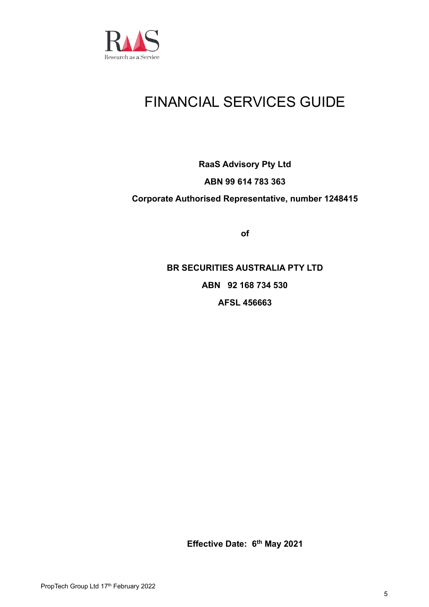

# FINANCIAL SERVICES GUIDE

# **RaaS Advisory Pty Ltd ABN 99 614 783 363 Corporate Authorised Representative, number 1248415**

**of**

**BR SECURITIES AUSTRALIA PTY LTD ABN 92 168 734 530 AFSL 456663**

**Effective Date: 6 th May 2021**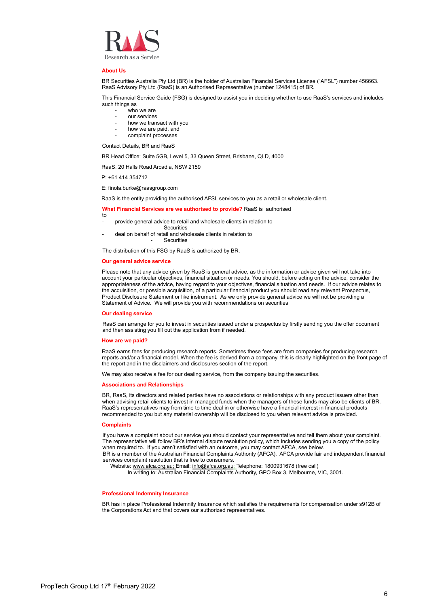

#### **About Us**

BR Securities Australia Pty Ltd (BR) is the holder of Australian Financial Services License ("AFSL") number 456663. RaaS Advisory Pty Ltd (RaaS) is an Authorised Representative (number 1248415) of BR.

This Financial Service Guide (FSG) is designed to assist you in deciding whether to use RaaS's services and includes such things as

- who we are
- our services
- how we transact with you
- how we are paid, and
- complaint processes

Contact Details, BR and RaaS

BR Head Office: Suite 5GB, Level 5, 33 Queen Street, Brisbane, QLD, 4000

RaaS. 20 Halls Road Arcadia, NSW 2159

P: +61 414 354712

E: finola.burke@raasgroup.com

RaaS is the entity providing the authorised AFSL services to you as a retail or wholesale client.

### **What Financial Services are we authorised to provide?** RaaS is authorised

- to provide general advice to retail and wholesale clients in relation to
- **Securities**
- deal on behalf of retail and wholesale clients in relation to **Securities**

The distribution of this FSG by RaaS is authorized by BR.

#### **Our general advice service**

Please note that any advice given by RaaS is general advice, as the information or advice given will not take into account your particular objectives, financial situation or needs. You should, before acting on the advice, consider the appropriateness of the advice, having regard to your objectives, financial situation and needs. If our advice relates to the acquisition, or possible acquisition, of a particular financial product you should read any relevant Prospectus, Product Disclosure Statement or like instrument. As we only provide general advice we will not be providing a Statement of Advice. We will provide you with recommendations on securities

#### **Our dealing service**

RaaS can arrange for you to invest in securities issued under a prospectus by firstly sending you the offer document and then assisting you fill out the application from if needed.

#### **How are we paid?**

RaaS earns fees for producing research reports. Sometimes these fees are from companies for producing research reports and/or a financial model. When the fee is derived from a company, this is clearly highlighted on the front page of the report and in the disclaimers and disclosures section of the report.

We may also receive a fee for our dealing service, from the company issuing the securities.

#### **Associations and Relationships**

BR, RaaS, its directors and related parties have no associations or relationships with any product issuers other than when advising retail clients to invest in managed funds when the managers of these funds may also be clients of BR. RaaS's representatives may from time to time deal in or otherwise have a financial interest in financial products recommended to you but any material ownership will be disclosed to you when relevant advice is provided.

#### **Complaints**

If you have a complaint about our service you should contact your representative and tell them about your complaint. The representative will follow BR's internal dispute resolution policy, which includes sending you a copy of the policy when required to. If you aren't satisfied with an outcome, you may contact AFCA, see below. BR is a member of the Australian Financial Complaints Authority (AFCA). AFCA provide fair and independent financial services complaint resolution that is free to consumers.

Website[: www.afca.org.au;](http://www.afca.org.au/) Email: [info@afca.org.au;](mailto:info@afca.org.au) Telephone: 1800931678 (free call)

In writing to: Australian Financial Complaints Authority, GPO Box 3, Melbourne, VIC, 3001.

#### **Professional Indemnity Insurance**

BR has in place Professional Indemnity Insurance which satisfies the requirements for compensation under s912B of the Corporations Act and that covers our authorized representatives.